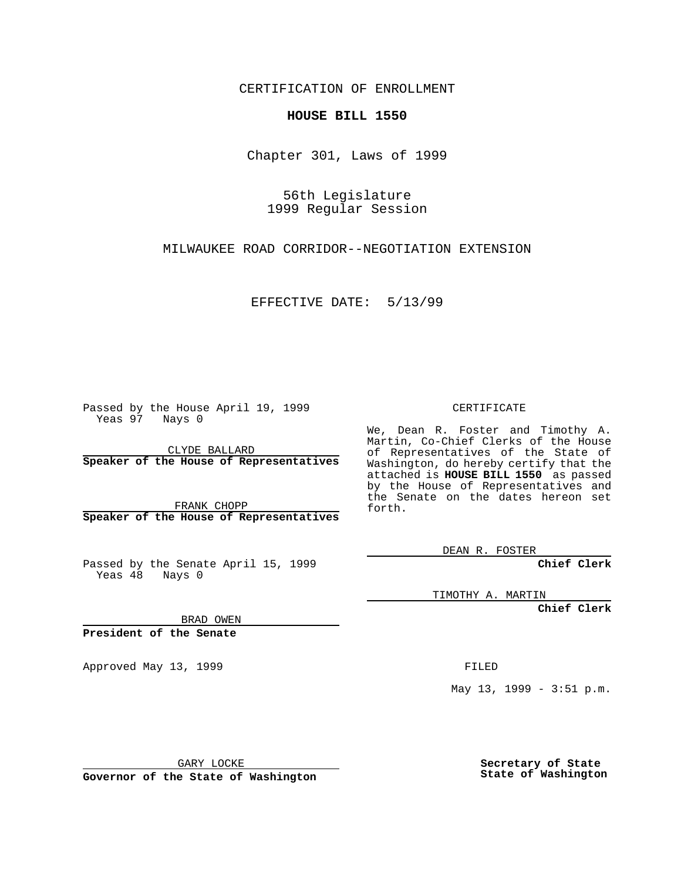CERTIFICATION OF ENROLLMENT

## **HOUSE BILL 1550**

Chapter 301, Laws of 1999

56th Legislature 1999 Regular Session

MILWAUKEE ROAD CORRIDOR--NEGOTIATION EXTENSION

EFFECTIVE DATE: 5/13/99

Passed by the House April 19, 1999 Yeas 97 Nays 0

CLYDE BALLARD **Speaker of the House of Representatives**

FRANK CHOPP **Speaker of the House of Representatives**

Passed by the Senate April 15, 1999 Yeas  $48$  Nays 0

CERTIFICATE

We, Dean R. Foster and Timothy A. Martin, Co-Chief Clerks of the House of Representatives of the State of Washington, do hereby certify that the attached is **HOUSE BILL 1550** as passed by the House of Representatives and the Senate on the dates hereon set forth.

DEAN R. FOSTER

**Chief Clerk**

TIMOTHY A. MARTIN

**Chief Clerk**

BRAD OWEN

**President of the Senate**

Approved May 13, 1999 **FILED** 

May 13, 1999 - 3:51 p.m.

GARY LOCKE

**Governor of the State of Washington**

**Secretary of State State of Washington**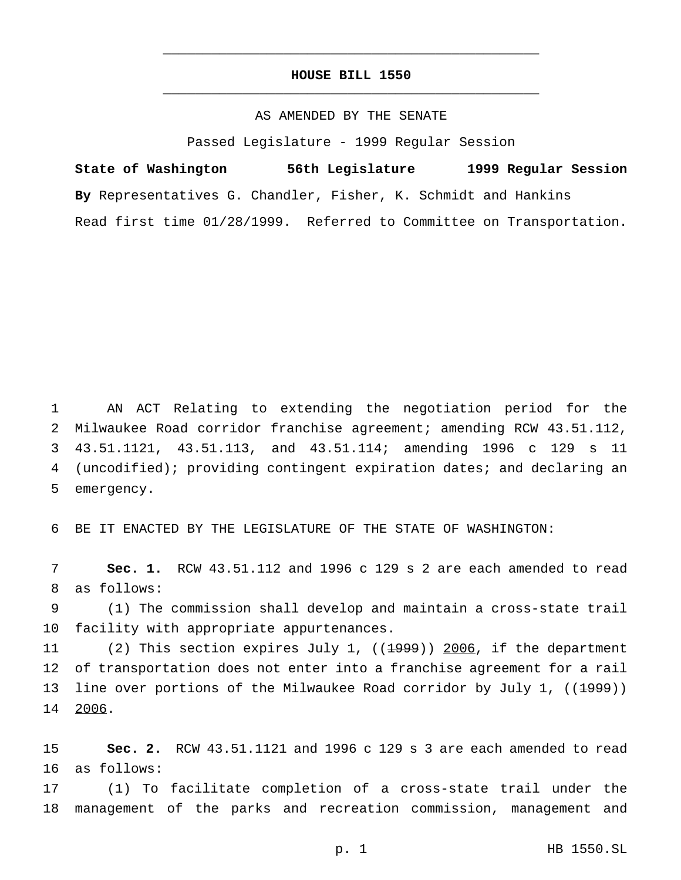## **HOUSE BILL 1550** \_\_\_\_\_\_\_\_\_\_\_\_\_\_\_\_\_\_\_\_\_\_\_\_\_\_\_\_\_\_\_\_\_\_\_\_\_\_\_\_\_\_\_\_\_\_\_

\_\_\_\_\_\_\_\_\_\_\_\_\_\_\_\_\_\_\_\_\_\_\_\_\_\_\_\_\_\_\_\_\_\_\_\_\_\_\_\_\_\_\_\_\_\_\_

## AS AMENDED BY THE SENATE

Passed Legislature - 1999 Regular Session

**State of Washington 56th Legislature 1999 Regular Session By** Representatives G. Chandler, Fisher, K. Schmidt and Hankins Read first time 01/28/1999. Referred to Committee on Transportation.

 AN ACT Relating to extending the negotiation period for the Milwaukee Road corridor franchise agreement; amending RCW 43.51.112, 43.51.1121, 43.51.113, and 43.51.114; amending 1996 c 129 s 11 (uncodified); providing contingent expiration dates; and declaring an emergency.

6 BE IT ENACTED BY THE LEGISLATURE OF THE STATE OF WASHINGTON:

7 **Sec. 1.** RCW 43.51.112 and 1996 c 129 s 2 are each amended to read 8 as follows:

9 (1) The commission shall develop and maintain a cross-state trail 10 facility with appropriate appurtenances.

11 (2) This section expires July 1, ((<del>1999</del>)) 2006, if the department 12 of transportation does not enter into a franchise agreement for a rail 13 line over portions of the Milwaukee Road corridor by July 1, ((<del>1999</del>)) 14 2006.

15 **Sec. 2.** RCW 43.51.1121 and 1996 c 129 s 3 are each amended to read 16 as follows:

17 (1) To facilitate completion of a cross-state trail under the 18 management of the parks and recreation commission, management and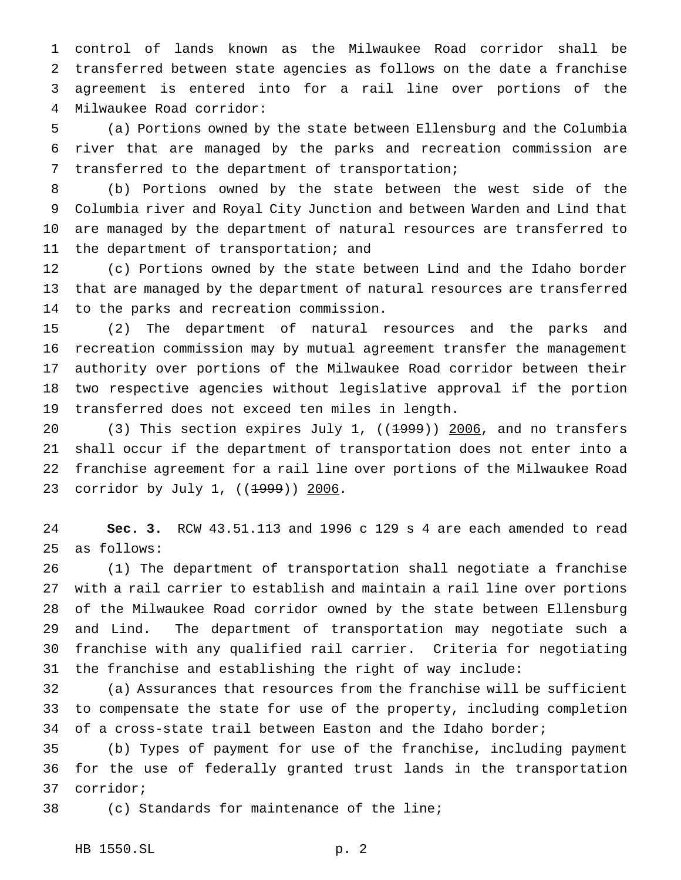control of lands known as the Milwaukee Road corridor shall be transferred between state agencies as follows on the date a franchise agreement is entered into for a rail line over portions of the Milwaukee Road corridor:

 (a) Portions owned by the state between Ellensburg and the Columbia river that are managed by the parks and recreation commission are transferred to the department of transportation;

 (b) Portions owned by the state between the west side of the Columbia river and Royal City Junction and between Warden and Lind that are managed by the department of natural resources are transferred to the department of transportation; and

 (c) Portions owned by the state between Lind and the Idaho border that are managed by the department of natural resources are transferred to the parks and recreation commission.

 (2) The department of natural resources and the parks and recreation commission may by mutual agreement transfer the management authority over portions of the Milwaukee Road corridor between their two respective agencies without legislative approval if the portion transferred does not exceed ten miles in length.

20 (3) This section expires July 1, ((1999)) 2006, and no transfers shall occur if the department of transportation does not enter into a franchise agreement for a rail line over portions of the Milwaukee Road 23 corridor by July 1, ((<del>1999</del>)) 2006.

 **Sec. 3.** RCW 43.51.113 and 1996 c 129 s 4 are each amended to read as follows:

 (1) The department of transportation shall negotiate a franchise with a rail carrier to establish and maintain a rail line over portions of the Milwaukee Road corridor owned by the state between Ellensburg and Lind. The department of transportation may negotiate such a franchise with any qualified rail carrier. Criteria for negotiating the franchise and establishing the right of way include:

 (a) Assurances that resources from the franchise will be sufficient to compensate the state for use of the property, including completion of a cross-state trail between Easton and the Idaho border;

 (b) Types of payment for use of the franchise, including payment for the use of federally granted trust lands in the transportation corridor;

(c) Standards for maintenance of the line;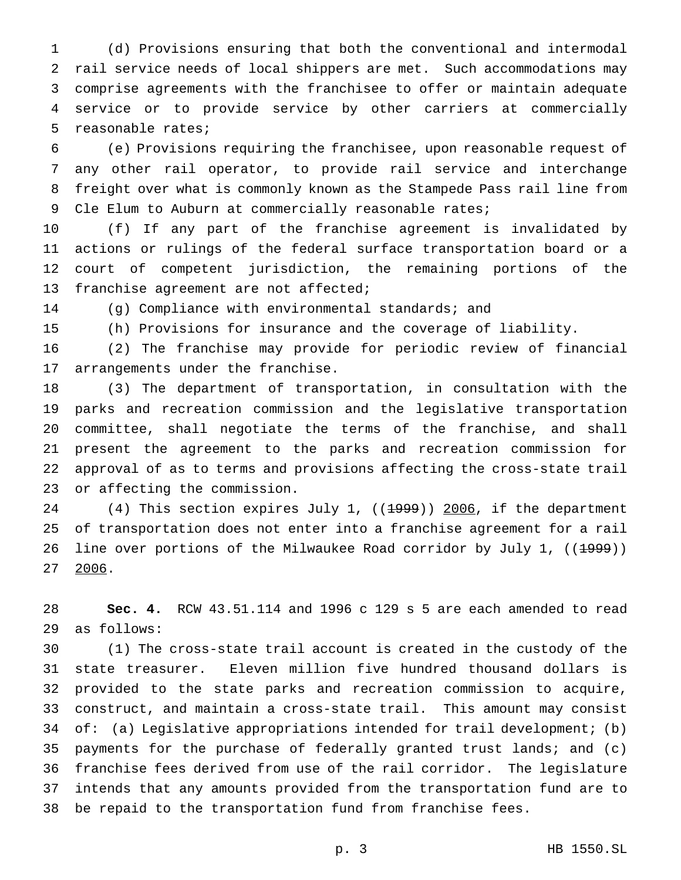(d) Provisions ensuring that both the conventional and intermodal rail service needs of local shippers are met. Such accommodations may comprise agreements with the franchisee to offer or maintain adequate service or to provide service by other carriers at commercially reasonable rates;

 (e) Provisions requiring the franchisee, upon reasonable request of any other rail operator, to provide rail service and interchange freight over what is commonly known as the Stampede Pass rail line from 9 Cle Elum to Auburn at commercially reasonable rates;

 (f) If any part of the franchise agreement is invalidated by actions or rulings of the federal surface transportation board or a court of competent jurisdiction, the remaining portions of the franchise agreement are not affected;

(g) Compliance with environmental standards; and

(h) Provisions for insurance and the coverage of liability.

 (2) The franchise may provide for periodic review of financial arrangements under the franchise.

 (3) The department of transportation, in consultation with the parks and recreation commission and the legislative transportation committee, shall negotiate the terms of the franchise, and shall present the agreement to the parks and recreation commission for approval of as to terms and provisions affecting the cross-state trail or affecting the commission.

24 (4) This section expires July 1, ((1999)) 2006, if the department of transportation does not enter into a franchise agreement for a rail 26 line over portions of the Milwaukee Road corridor by July 1, ((1999)) 2006.

 **Sec. 4.** RCW 43.51.114 and 1996 c 129 s 5 are each amended to read as follows:

 (1) The cross-state trail account is created in the custody of the state treasurer. Eleven million five hundred thousand dollars is provided to the state parks and recreation commission to acquire, construct, and maintain a cross-state trail. This amount may consist of: (a) Legislative appropriations intended for trail development; (b) payments for the purchase of federally granted trust lands; and (c) franchise fees derived from use of the rail corridor. The legislature intends that any amounts provided from the transportation fund are to be repaid to the transportation fund from franchise fees.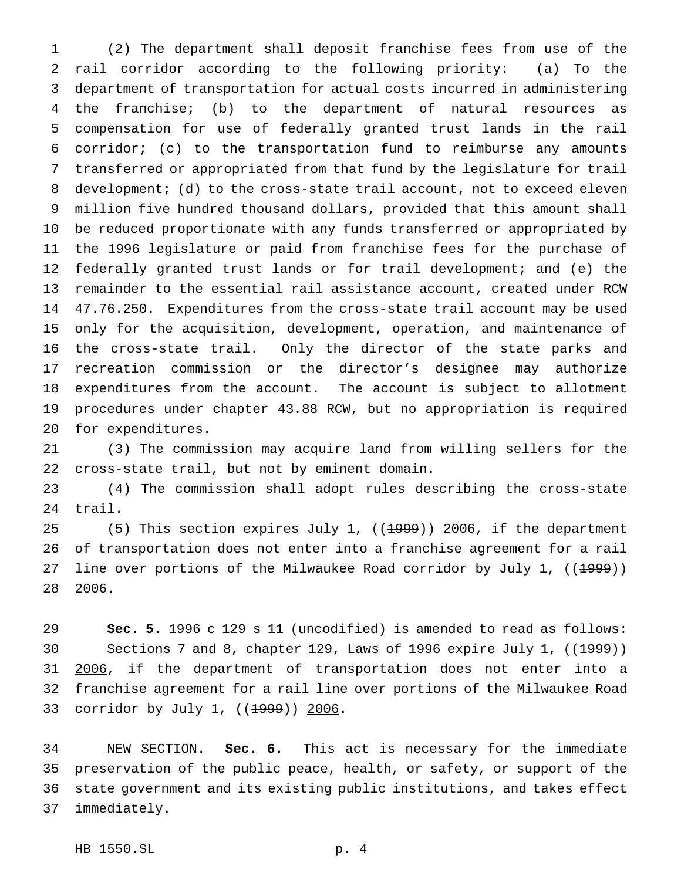(2) The department shall deposit franchise fees from use of the rail corridor according to the following priority: (a) To the department of transportation for actual costs incurred in administering the franchise; (b) to the department of natural resources as compensation for use of federally granted trust lands in the rail corridor; (c) to the transportation fund to reimburse any amounts transferred or appropriated from that fund by the legislature for trail development; (d) to the cross-state trail account, not to exceed eleven million five hundred thousand dollars, provided that this amount shall be reduced proportionate with any funds transferred or appropriated by the 1996 legislature or paid from franchise fees for the purchase of federally granted trust lands or for trail development; and (e) the remainder to the essential rail assistance account, created under RCW 47.76.250. Expenditures from the cross-state trail account may be used only for the acquisition, development, operation, and maintenance of the cross-state trail. Only the director of the state parks and recreation commission or the director's designee may authorize expenditures from the account. The account is subject to allotment procedures under chapter 43.88 RCW, but no appropriation is required for expenditures.

 (3) The commission may acquire land from willing sellers for the cross-state trail, but not by eminent domain.

 (4) The commission shall adopt rules describing the cross-state trail.

25 (5) This section expires July 1, ((1999)) 2006, if the department of transportation does not enter into a franchise agreement for a rail 27 line over portions of the Milwaukee Road corridor by July 1,  $((1.999))$ 2006.

 **Sec. 5.** 1996 c 129 s 11 (uncodified) is amended to read as follows: 30 Sections 7 and 8, chapter 129, Laws of 1996 expire July 1, ((<del>1999</del>)) 2006, if the department of transportation does not enter into a franchise agreement for a rail line over portions of the Milwaukee Road 33 corridor by July 1, ((<del>1999</del>)) 2006.

 NEW SECTION. **Sec. 6.** This act is necessary for the immediate preservation of the public peace, health, or safety, or support of the state government and its existing public institutions, and takes effect immediately.